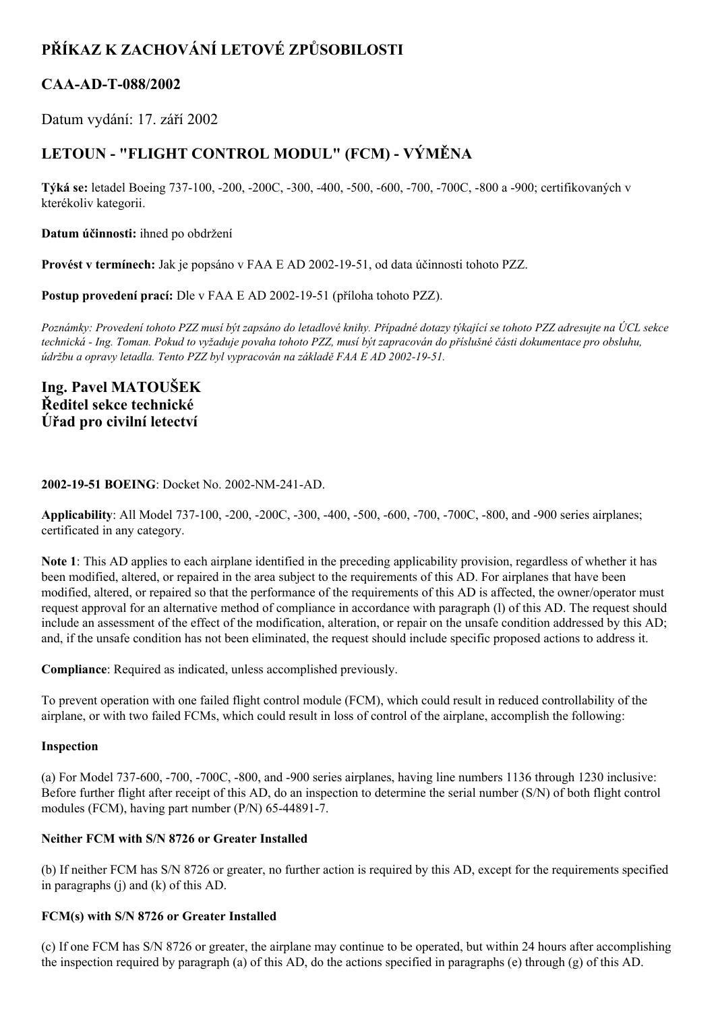# **PŘÍKAZ K ZACHOVÁNÍ LETOVÉ ZPŮSOBILOSTI**

## **CAAADT088/2002**

Datum vydání: 17. září 2002

## **LETOUN "FLIGHT CONTROL MODUL" (FCM) VÝMĚNA**

Týká se: letadel Boeing 737-100, -200, -200C, -300, -400, -500, -600, -700, -700C, -800 a -900; certifikovaných v kterékoliv kategorii.

**Datum účinnosti:** ihned po obdržení

**Provést v termínech:** Jak je popsáno v FAA E AD 20021951, od data účinnosti tohoto PZZ.

**Postup provedení prací:** Dle v FAA E AD 2002-19-51 (příloha tohoto PZZ).

Poznámky: Provedení tohoto PZZ musí být zapsáno do letadlové knihy. Případné dotazy týkající se tohoto PZZ adresujte na ÚCL sekce technická - Ing. Toman. Pokud to vyžaduje povaha tohoto PZZ, musí být zapracován do příslušné části dokumentace pro obsluhu, *údržbu a opravy letadla. Tento PZZ byl vypracován na základě FAA E AD 20021951.*

**Ing. Pavel MATOUŠEK Ředitel sekce technické Úřad pro civilní letectví**

## 2002-19-51 **BOEING**: Docket No. 2002-NM-241-AD.

**Applicability**: All Model 737-100, -200, -200C, -300, -400, -500, -600, -700, -700C, -800, and -900 series airplanes; certificated in any category.

**Note 1**: This AD applies to each airplane identified in the preceding applicability provision, regardless of whether it has been modified, altered, or repaired in the area subject to the requirements of this AD. For airplanes that have been modified, altered, or repaired so that the performance of the requirements of this AD is affected, the owner/operator must request approval for an alternative method of compliance in accordance with paragraph (l) of this AD. The request should include an assessment of the effect of the modification, alteration, or repair on the unsafe condition addressed by this AD; and, if the unsafe condition has not been eliminated, the request should include specific proposed actions to address it.

**Compliance**: Required as indicated, unless accomplished previously.

To prevent operation with one failed flight control module (FCM), which could result in reduced controllability of the airplane, or with two failed FCMs, which could result in loss of control of the airplane, accomplish the following:

#### **Inspection**

(a) For Model 737-600, -700, -700C, -800, and -900 series airplanes, having line numbers 1136 through 1230 inclusive: Before further flight after receipt of this AD, do an inspection to determine the serial number (S/N) of both flight control modules (FCM), having part number (P/N) 65-44891-7.

## **Neither FCM with S/N 8726 or Greater Installed**

(b) If neither FCM has S/N 8726 or greater, no further action is required by this AD, except for the requirements specified in paragraphs (j) and (k) of this AD.

## **FCM(s) with S/N 8726 or Greater Installed**

(c) If one FCM has S/N 8726 or greater, the airplane may continue to be operated, but within 24 hours after accomplishing the inspection required by paragraph (a) of this AD, do the actions specified in paragraphs (e) through (g) of this AD.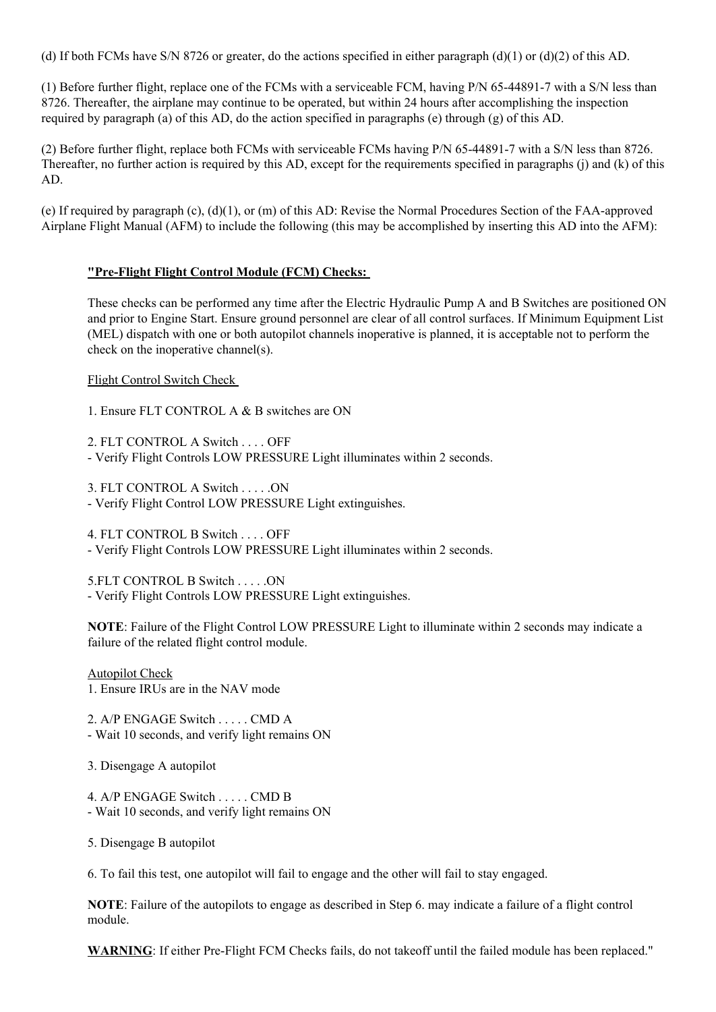(d) If both FCMs have S/N 8726 or greater, do the actions specified in either paragraph (d)(1) or (d)(2) of this AD.

(1) Before further flight, replace one of the FCMs with a serviceable FCM, having P/N 65-44891-7 with a S/N less than 8726. Thereafter, the airplane may continue to be operated, but within 24 hours after accomplishing the inspection required by paragraph (a) of this AD, do the action specified in paragraphs (e) through (g) of this AD.

(2) Before further flight, replace both FCMs with serviceable FCMs having P/N 65-44891-7 with a S/N less than 8726. Thereafter, no further action is required by this AD, except for the requirements specified in paragraphs (j) and (k) of this AD.

(e) If required by paragraph  $(c)$ ,  $(d)(1)$ , or  $(m)$  of this AD: Revise the Normal Procedures Section of the FAA-approved Airplane Flight Manual (AFM) to include the following (this may be accomplished by inserting this AD into the AFM):

#### **"PreFlight Flight Control Module (FCM) Checks:**

These checks can be performed any time after the Electric Hydraulic Pump A and B Switches are positioned ON and prior to Engine Start. Ensure ground personnel are clear of all control surfaces. If Minimum Equipment List (MEL) dispatch with one or both autopilot channels inoperative is planned, it is acceptable not to perform the check on the inoperative channel(s).

#### Flight Control Switch Check

1. Ensure FLT CONTROL A & B switches are ON

2. FLT CONTROL A Switch . . . . OFF Verify Flight Controls LOW PRESSURE Light illuminates within 2 seconds.

3. FLT CONTROL A Switch . . . . .ON Verify Flight Control LOW PRESSURE Light extinguishes.

4. FLT CONTROL B Switch . . . . OFF Verify Flight Controls LOW PRESSURE Light illuminates within 2 seconds.

5.FLT CONTROL B Switch . . . . .ON Verify Flight Controls LOW PRESSURE Light extinguishes.

**NOTE**: Failure of the Flight Control LOW PRESSURE Light to illuminate within 2 seconds may indicate a failure of the related flight control module.

Autopilot Check 1. Ensure IRUs are in the NAV mode

2. A/P ENGAGE Switch . . . . . CMD A Wait 10 seconds, and verify light remains ON

3. Disengage A autopilot

4. A/P ENGAGE Switch . . . . . CMD B Wait 10 seconds, and verify light remains ON

5. Disengage B autopilot

6. To fail this test, one autopilot will fail to engage and the other will fail to stay engaged.

**NOTE**: Failure of the autopilots to engage as described in Step 6. may indicate a failure of a flight control module.

**WARNING**: If either Pre-Flight FCM Checks fails, do not takeoff until the failed module has been replaced."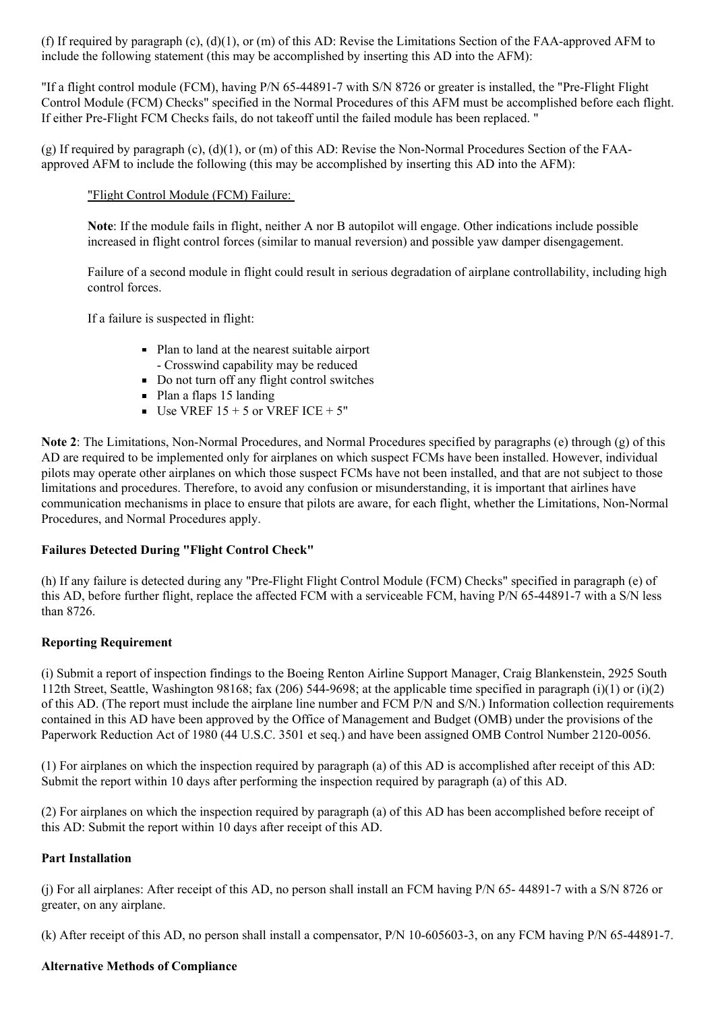(f) If required by paragraph (c),  $(d)(1)$ , or (m) of this AD: Revise the Limitations Section of the FAA-approved AFM to include the following statement (this may be accomplished by inserting this AD into the AFM):

"If a flight control module (FCM), having P/N 65-44891-7 with S/N 8726 or greater is installed, the "Pre-Flight Flight" Control Module (FCM) Checks" specified in the Normal Procedures of this AFM must be accomplished before each flight. If either Pre-Flight FCM Checks fails, do not takeoff until the failed module has been replaced. "

(g) If required by paragraph (c),  $(d)(1)$ , or (m) of this AD: Revise the Non-Normal Procedures Section of the FAAapproved AFM to include the following (this may be accomplished by inserting this AD into the AFM):

"Flight Control Module (FCM) Failure:

**Note**: If the module fails in flight, neither A nor B autopilot will engage. Other indications include possible increased in flight control forces (similar to manual reversion) and possible yaw damper disengagement.

Failure of a second module in flight could result in serious degradation of airplane controllability, including high control forces.

If a failure is suspected in flight:

- Plan to land at the nearest suitable airport Crosswind capability may be reduced
- Do not turn off any flight control switches
- Plan a flaps 15 landing
- Use VREF  $15 + 5$  or VREF ICE + 5"

**Note 2**: The Limitations, Non-Normal Procedures, and Normal Procedures specified by paragraphs (e) through (g) of this AD are required to be implemented only for airplanes on which suspect FCMs have been installed. However, individual pilots may operate other airplanes on which those suspect FCMs have not been installed, and that are not subject to those limitations and procedures. Therefore, to avoid any confusion or misunderstanding, it is important that airlines have communication mechanisms in place to ensure that pilots are aware, for each flight, whether the Limitations, Non-Normal Procedures, and Normal Procedures apply.

#### **Failures Detected During "Flight Control Check"**

(h) If any failure is detected during any "PreFlight Flight Control Module (FCM) Checks" specified in paragraph (e) of this AD, before further flight, replace the affected FCM with a serviceable FCM, having P/N 65-44891-7 with a S/N less than 8726.

#### **Reporting Requirement**

(i) Submit a report of inspection findings to the Boeing Renton Airline Support Manager, Craig Blankenstein, 2925 South 112th Street, Seattle, Washington 98168; fax (206) 544-9698; at the applicable time specified in paragraph (i)(1) or (i)(2) of this AD. (The report must include the airplane line number and FCM P/N and S/N.) Information collection requirements contained in this AD have been approved by the Office of Management and Budget (OMB) under the provisions of the Paperwork Reduction Act of 1980 (44 U.S.C. 3501 et seq.) and have been assigned OMB Control Number 2120-0056.

(1) For airplanes on which the inspection required by paragraph (a) of this AD is accomplished after receipt of this AD: Submit the report within 10 days after performing the inspection required by paragraph (a) of this AD.

(2) For airplanes on which the inspection required by paragraph (a) of this AD has been accomplished before receipt of this AD: Submit the report within 10 days after receipt of this AD.

#### **Part Installation**

(i) For all airplanes: After receipt of this AD, no person shall install an FCM having P/N 65-44891-7 with a S/N 8726 or greater, on any airplane.

(k) After receipt of this AD, no person shall install a compensator,  $P/N$  10-605603-3, on any FCM having  $P/N$  65-44891-7.

## **Alternative Methods of Compliance**